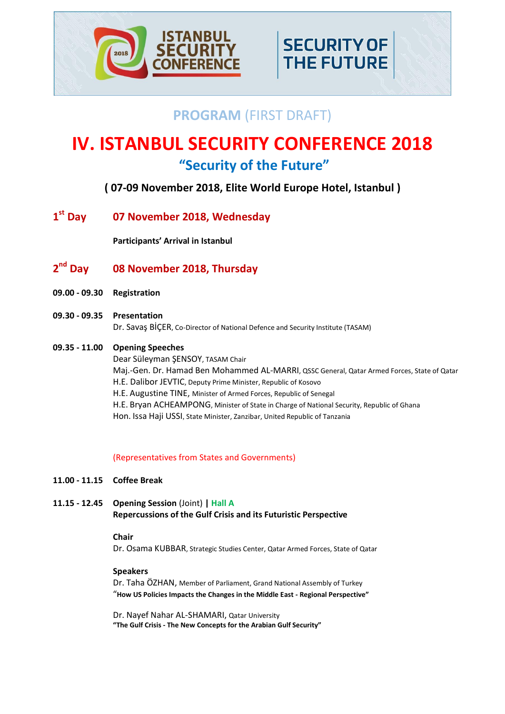

## **PROGRAM** (FIRST DRAFT)

**SECURITY OF** 

**THE FUTURE** 

# **IV. ISTANBUL SECURITY CONFERENCE 2018 "Security of the Future"**

## **( 07-09 November 2018, Elite World Europe Hotel, Istanbul )**

1<sup>st</sup> Day **st Day 07 November 2018, Wednesday**

**Participants' Arrival in Istanbul**

#### 2<sup>nd</sup> Day **nd Day 08 November 2018, Thursday**

- **09.00 - 09.30 Registration**
- **09.30 - 09.35 Presentation**  Dr. Savaş BİÇER, Co-Director of National Defence and Security Institute (TASAM)
- **09.35 - 11.00 Opening Speeches**

Dear Süleyman ŞENSOY, TASAM Chair Maj.-Gen. Dr. Hamad Ben Mohammed AL-MARRI, QSSC General, Qatar Armed Forces, State of Qatar H.E. Dalibor JEVTIC, Deputy Prime Minister, Republic of Kosovo H.E. Augustine TINE, Minister of Armed Forces, Republic of Senegal H.E. Bryan ACHEAMPONG, Minister of State in Charge of National Security, Republic of Ghana Hon. Issa Haji USSI, State Minister, Zanzibar, United Republic of Tanzania

## (Representatives from States and Governments)

- **11.00 - 11.15 Coffee Break**
- **11.15 - 12.45 Opening Session** (Joint) **| Hall A Repercussions of the Gulf Crisis and its Futuristic Perspective**

## **Chair**

Dr. Osama KUBBAR, Strategic Studies Center, Qatar Armed Forces, State of Qatar

## **Speakers**

Dr. Taha ÖZHAN, Member of Parliament, Grand National Assembly of Turkey "**How US Policies Impacts the Changes in the Middle East - Regional Perspective"**

Dr. Nayef Nahar AL-SHAMARI, Qatar University **"The Gulf Crisis - The New Concepts for the Arabian Gulf Security"**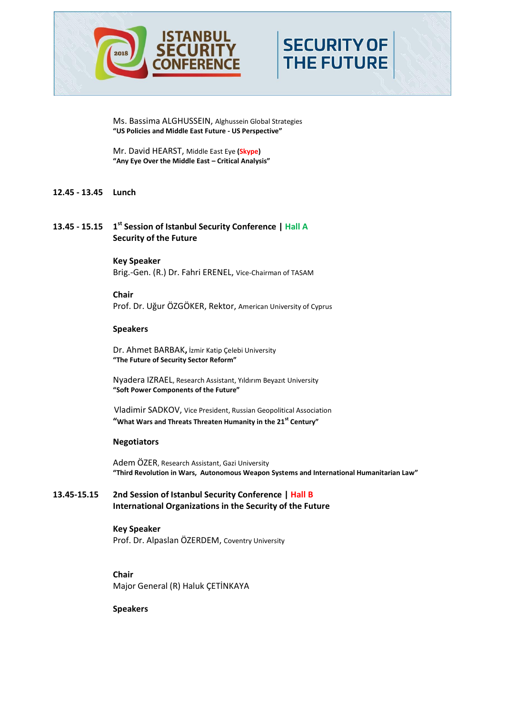

**SECURITY OF THE FUTURE** 

Ms. Bassima ALGHUSSEIN, Alghussein Global Strategies **"US Policies and Middle East Future - US Perspective"**

Mr. David HEARST, Middle East Eye **(Skype) "Any Eye Over the Middle East – Critical Analysis"**

## **12.45 - 13.45 Lunch**

## **13.45 - 15.15 1 st Session of Istanbul Security Conference | Hall A Security of the Future**

**Key Speaker** Brig.-Gen. (R.) Dr. Fahri ERENEL, Vice-Chairman of TASAM

**Chair** Prof. Dr. Uğur ÖZGÖKER, Rektor, American University of Cyprus

### **Speakers**

Dr. Ahmet BARBAK**,** İzmir Katip Çelebi University **"The Future of Security Sector Reform"**

Nyadera IZRAEL, Research Assistant, Yıldırım Beyazıt University **"Soft Power Components of the Future"**

Vladimir SADKOV, Vice President, Russian Geopolitical Association **"What Wars and Threats Threaten Humanity in the 21st Century"**

#### **Negotiators**

Adem ÖZER, Research Assistant, Gazi University  **"Third Revolution in Wars, Autonomous Weapon Systems and International Humanitarian Law"**

## **13.45-15.15 2nd Session of Istanbul Security Conference | Hall B International Organizations in the Security of the Future**

## **Key Speaker** Prof. Dr. Alpaslan ÖZERDEM, Coventry University

**Chair** Major General (R) Haluk ÇETİNKAYA

**Speakers**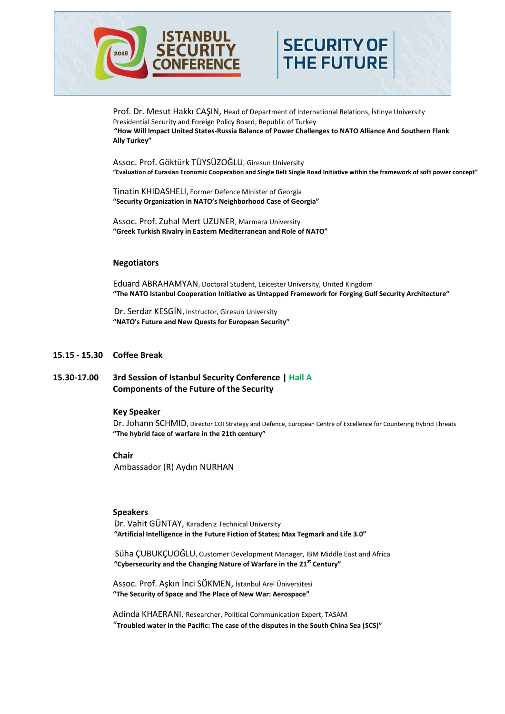



Prof. Dr. Mesut Hakkı CAŞIN, Head of Department of International Relations, İstinye University Presidential Security and Foreign Policy Board, Republic of Turkey **"How Will Impact United States-Russia Balance of Power Challenges to NATO Alliance And Southern Flank Ally Turkey"**

Assoc. Prof. Göktürk TÜYSÜZOĞLU, Giresun University  **"Evaluation of Eurasian Economic Cooperation and Single Belt Single Road Initiative within the framework of soft power concept"**

Tinatin KHIDASHELI, Former Defence Minister of Georgia **"Security Organization in NATO's Neighborhood Case of Georgia"**

Assoc. Prof. Zuhal Mert UZUNER, Marmara University **"Greek Turkish Rivalry in Eastern Mediterranean and Role of NATO"**

#### **Negotiators**

Eduard ABRAHAMYAN, Doctoral Student, Leicester University, United Kingdom  **"The NATO Istanbul Cooperation Initiative as Untapped Framework for Forging Gulf Security Architecture"**

Dr. Serdar KESGİN, Instructor, Giresun University **"NATO's Future and New Quests for European Security"**

#### **15.15 - 15.30 Coffee Break**

## **15.30-17.00 3rd Session of Istanbul Security Conference | Hall A Components of the Future of the Security**

#### **Key Speaker**

Dr. Johann SCHMID, Director COI Strategy and Defence, European Centre of Excellence for Countering Hybrid Threats **"The hybrid face of warfare in the 21th century"**

#### **Chair**

Ambassador (R) Aydın NURHAN

#### **Speakers**

Dr. Vahit GÜNTAY, Karadeniz Technical University **"Artificial Intelligence in the Future Fiction of States; Max Tegmark and Life 3.0"**

Süha ÇUBUKÇUOĞLU, Customer Development Manager, IBM Middle East and Africa **"Cybersecurity and the Changing Nature of Warfare in the 21st Century"**

Assoc. Prof. Aşkın İnci SÖKMEN, İstanbul Arel Üniversitesi **"The Security of Space and The Place of New War: Aerospace"**

Adinda KHAERANI, Researcher, Political Communication Expert, TASAM "**Troubled water in the Pacific: The case of the disputes in the South China Sea (SCS)"**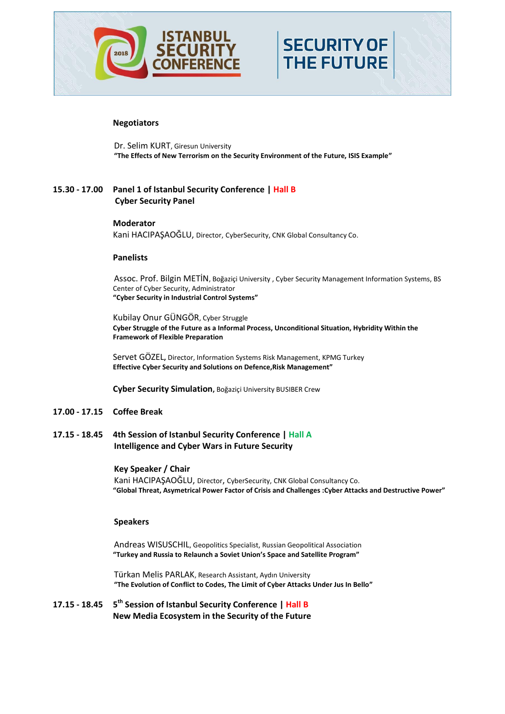

#### **Negotiators**

Dr. Selim KURT, Giresun University **"The Effects of New Terrorism on the Security Environment of the Future, ISIS Example"**

**SECURITY OF** 

**THE FUTURE** 

## **15.30 - 17.00 Panel 1 of Istanbul Security Conference | Hall B Cyber Security Panel**

#### **Moderator**

Kani HACIPAŞAOĞLU, Director, CyberSecurity, CNK Global Consultancy Co.

#### **Panelists**

Assoc. Prof. Bilgin METİN, Boğaziçi University , Cyber Security Management Information Systems, BS Center of Cyber Security, Administrator **"Cyber Security in Industrial Control Systems"**

Kubilay Onur GÜNGÖR, Cyber Struggle **Cyber Struggle of the Future as a Informal Process, Unconditional Situation, Hybridity Within the Framework of Flexible Preparation**

Servet GÖZEL**,** Director, Information Systems Risk Management, KPMG Turkey **Effective Cyber Security and Solutions on Defence,Risk Management"**

**Cyber Security Simulation,** Boğaziçi University BUSIBER Crew

- **17.00 - 17.15 Coffee Break**
- **17.15 - 18.45 4th Session of Istanbul Security Conference | Hall A Intelligence and Cyber Wars in Future Security**

#### **Key Speaker / Chair**

Kani HACIPAŞAOĞLU, Director, CyberSecurity, CNK Global Consultancy Co. **"Global Threat, Asymetrical Power Factor of Crisis and Challenges :Cyber Attacks and Destructive Power"** 

#### **Speakers**

 Andreas WISUSCHIL, Geopolitics Specialist, Russian Geopolitical Association  **"Turkey and Russia to Relaunch a Soviet Union's Space and Satellite Program"** 

 Türkan Melis PARLAK, Research Assistant, Aydın University  **"The Evolution of Conflict to Codes, The Limit of Cyber Attacks Under Jus In Bello"**

**17.15 - 18.45 5 th Session of Istanbul Security Conference | Hall B New Media Ecosystem in the Security of the Future**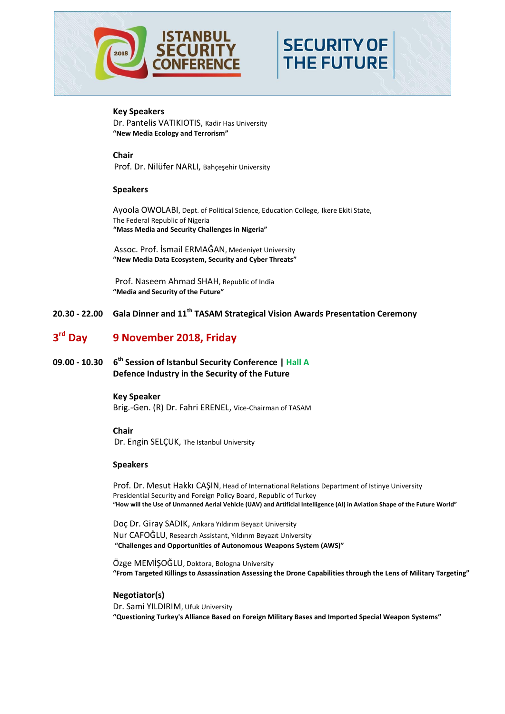

# **SECURITY OF THE FUTURE**

## **Key Speakers**

Dr. Pantelis VATIKIOTIS, Kadir Has University **"New Media Ecology and Terrorism"**

**Chair** Prof. Dr. Nilüfer NARLI, Bahçeşehir University

### **Speakers**

Ayoola OWOLABI, Dept. of Political Science, Education College, Ikere Ekiti State, The Federal Republic of Nigeria **"Mass Media and Security Challenges in Nigeria"**

Assoc. Prof. İsmail ERMAĞAN, Medeniyet University **"New Media Data Ecosystem, Security and Cyber Threats"**

Prof. Naseem Ahmad SHAH, Republic of India **"Media and Security of the Future"**

**20.30 - 22.00 Gala Dinner and 11th TASAM Strategical Vision Awards Presentation Ceremony**

#### 3<sup>rd</sup> Day **rd Day 9 November 2018, Friday**

**09.00 - 10.30 6 th Session of Istanbul Security Conference | Hall A Defence Industry in the Security of the Future**

#### **Key Speaker**

Brig.-Gen. (R) Dr. Fahri ERENEL, Vice-Chairman of TASAM

#### **Chair**

Dr. Engin SELÇUK, The Istanbul University

## **Speakers**

Prof. Dr. Mesut Hakkı CAŞIN, Head of International Relations Department of Istinye University Presidential Security and Foreign Policy Board, Republic of Turkey  **"How will the Use of Unmanned Aerial Vehicle (UAV) and Artificial Intelligence (AI) in Aviation Shape of the Future World"**

Doç Dr. Giray SADIK, Ankara Yıldırım Beyazıt University Nur CAFOĞLU, Research Assistant, Yıldırım Beyazıt University **"Challenges and Opportunities of Autonomous Weapons System (AWS)"**

Özge MEMİŞOĞLU, Doktora, Bologna University **"From Targeted Killings to Assassination Assessing the Drone Capabilities through the Lens of Military Targeting"**

## **Negotiator(s)**

 Dr. Sami YILDIRIM, Ufuk University **"Questioning Turkey's Alliance Based on Foreign Military Bases and Imported Special Weapon Systems"**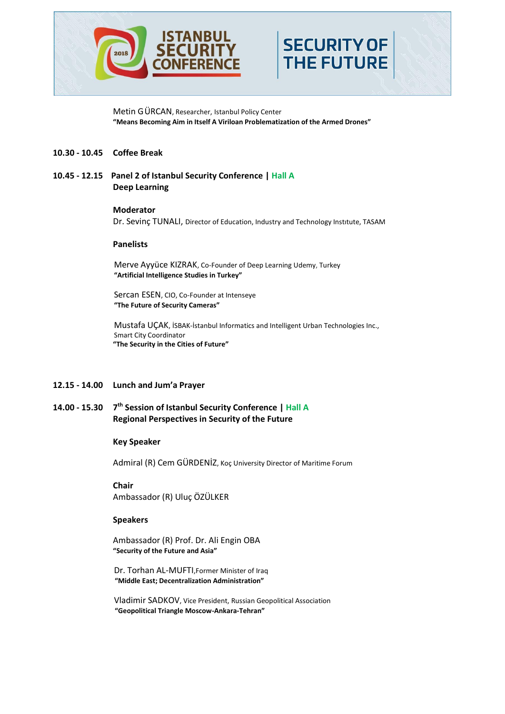

Metin GÜRCAN, Researcher, Istanbul Policy Center **"Means Becoming Aim in Itself A Viriloan Problematization of the Armed Drones"**

**SECURITY OF** 

**THE FUTURE** 

#### **10.30 - 10.45 Coffee Break**

**10.45 - 12.15 Panel 2 of Istanbul Security Conference | Hall A Deep Learning** 

#### **Moderator**

Dr. Sevinç TUNALI, Director of Education, Industry and Technology Instıtute, TASAM

#### **Panelists**

Merve Ayyüce KIZRAK, Co-Founder of Deep Learning [Udemy,](https://tr.linkedin.com/company/udemy?trk=ppro_cprof) Turkey **"Artificial Intelligence Studies in Turkey"**

Sercan ESEN, CIO, Co-Founder at Intenseye **"The Future of Security Cameras"**

Mustafa UÇAK, İSBAK-İstanbul Informatics and Intelligent Urban Technologies Inc., Smart City Coordinator **"The Security in the Cities of Future"**

#### **12.15 - 14.00 Lunch and Jum'a Prayer**

**14.00 - 15.30 7 th Session of Istanbul Security Conference | Hall A Regional Perspectives in Security of the Future**

#### **Key Speaker**

Admiral (R) Cem GÜRDENİZ, Koç University Director of Maritime Forum

**Chair** Ambassador (R) Uluç ÖZÜLKER

#### **Speakers**

Ambassador (R) Prof. Dr. Ali Engin OBA **"Security of the Future and Asia"**

Dr. Torhan AL-MUFTI,Former Minister of Iraq **"Middle East; Decentralization Administration"**

Vladimir SADKOV, Vice President, Russian Geopolitical Association **"Geopolitical Triangle Moscow-Ankara-Tehran"**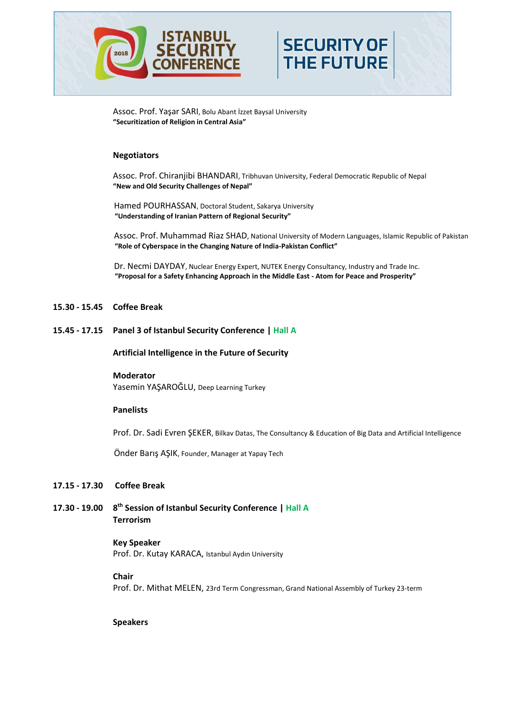

Assoc. Prof. Yaşar SARI, Bolu Abant İzzet Baysal University **"Securitization of Religion in Central Asia"**

#### **Negotiators**

Assoc. Prof. Chiranjibi BHANDARI, Tribhuvan University, Federal Democratic Republic of Nepal **"New and Old Security Challenges of Nepal"**

Hamed POURHASSAN, Doctoral Student, Sakarya University **"Understanding of Iranian Pattern of Regional Security"**

Assoc. Prof. Muhammad Riaz SHAD, National University of Modern Languages, Islamic Republic of Pakistan **"Role of Cyberspace in the Changing Nature of India-Pakistan Conflict"**

**SECURITY OF** 

**THE FUTURE** 

Dr. Necmi DAYDAY, Nuclear Energy Expert, NUTEK Energy Consultancy, Industry and Trade Inc. **"Proposal for a Safety Enhancing Approach in the Middle East - Atom for Peace and Prosperity"**

#### **15.30 - 15.45 Coffee Break**

**15.45 - 17.15 Panel 3 of Istanbul Security Conference | Hall A**

**Artificial Intelligence in the Future of Security**

#### **Moderator**

Yasemin YAŞAROĞLU, Deep Learning Turkey

#### **Panelists**

Prof. Dr. Sadi Evren ŞEKER, Bilkav Datas, The Consultancy & Education of Big Data and Artificial Intelligence

Önder Barış AŞIK, Founder, Manager at Yapay Tech

#### **17.15 - 17.30 Coffee Break**

**17.30 - 19.00 8 th Session of Istanbul Security Conference | Hall A Terrorism**

## **Key Speaker**

Prof. Dr. Kutay KARACA, Istanbul Aydın University

## **Chair**

Prof. Dr. Mithat MELEN, 23rd Term Congressman, Grand National Assembly of Turkey 23-term

**Speakers**